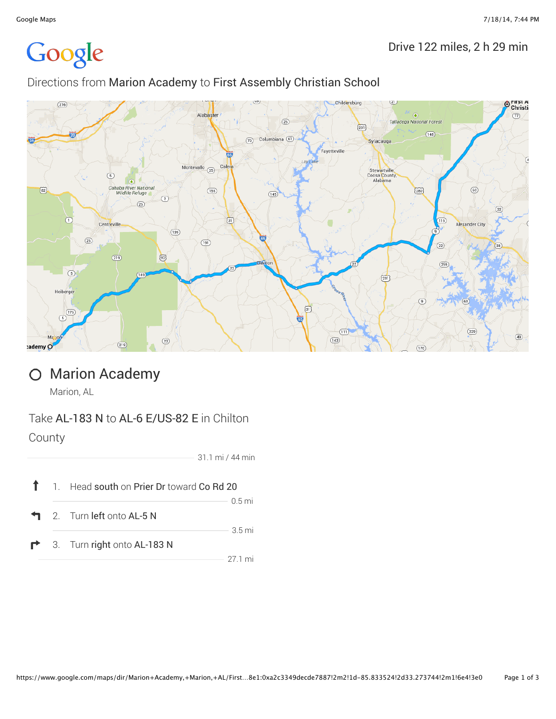# Google

#### Drive 122 miles, 2 h 29 min

#### Directions from Marion Academy to First Assembly Christian School



## O Marion Academy

Marion, AL

### Take **AL-183 N** to **AL-6 E/US-82 E** in Chilton County

31.1 mi / 44 min

|  | 1 1. Head south on Prier Dr toward Co Rd 20 |                  |
|--|---------------------------------------------|------------------|
|  | $\blacksquare$ 2. Turn left onto AL-5 N     | $0.5$ mi         |
|  | $\blacksquare$ 3. Turn right onto AL-183 N  | $3.5 \text{ mi}$ |
|  |                                             | 27 1 mi          |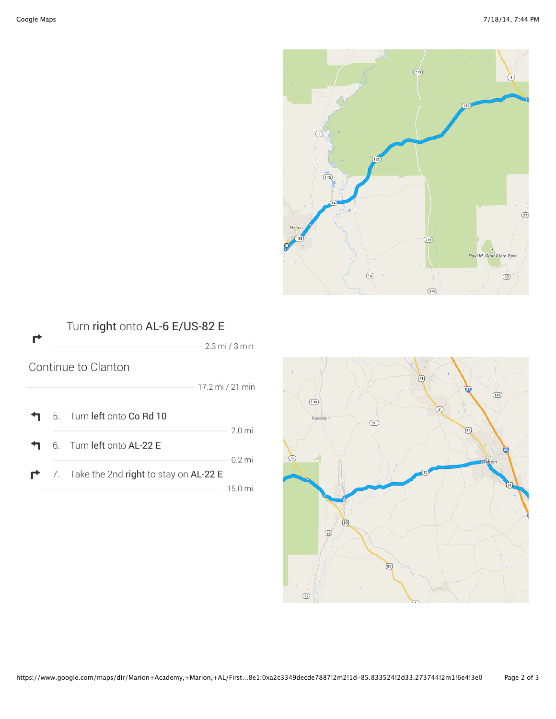





https://www.google.com/maps/dir/Marion+Academy,+Marion,+AL/First…8e1:0xa2c3349decde7887!2m2!1d-85.833524!2d33.273744!2m1!6e4!3e0 Page 2 of 3